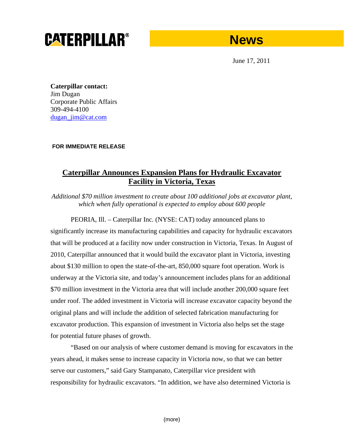# **CATERPILLAR®**

# **News**

June 17, 2011

**Caterpillar contact:**  Jim Dugan Corporate Public Affairs 309-494-4100 dugan\_jim@cat.com

**FOR IMMEDIATE RELEASE** 

## **Caterpillar Announces Expansion Plans for Hydraulic Excavator Facility in Victoria, Texas**

*Additional \$70 million investment to create about 100 additional jobs at excavator plant, which when fully operational is expected to employ about 600 people* 

PEORIA, Ill. – Caterpillar Inc. (NYSE: CAT) today announced plans to significantly increase its manufacturing capabilities and capacity for hydraulic excavators that will be produced at a facility now under construction in Victoria, Texas. In August of 2010, Caterpillar announced that it would build the excavator plant in Victoria, investing about \$130 million to open the state-of-the-art, 850,000 square foot operation. Work is underway at the Victoria site, and today's announcement includes plans for an additional \$70 million investment in the Victoria area that will include another 200,000 square feet under roof. The added investment in Victoria will increase excavator capacity beyond the original plans and will include the addition of selected fabrication manufacturing for excavator production. This expansion of investment in Victoria also helps set the stage for potential future phases of growth.

"Based on our analysis of where customer demand is moving for excavators in the years ahead, it makes sense to increase capacity in Victoria now, so that we can better serve our customers," said Gary Stampanato, Caterpillar vice president with responsibility for hydraulic excavators. "In addition, we have also determined Victoria is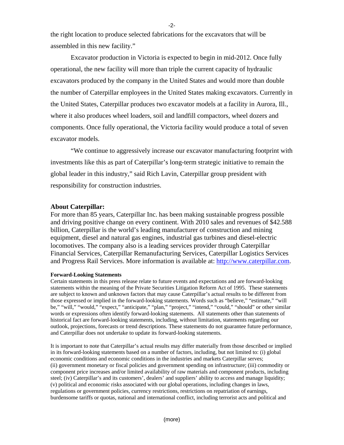the right location to produce selected fabrications for the excavators that will be assembled in this new facility."

Excavator production in Victoria is expected to begin in mid-2012. Once fully operational, the new facility will more than triple the current capacity of hydraulic excavators produced by the company in the United States and would more than double the number of Caterpillar employees in the United States making excavators. Currently in the United States, Caterpillar produces two excavator models at a facility in Aurora, Ill., where it also produces wheel loaders, soil and landfill compactors, wheel dozers and components. Once fully operational, the Victoria facility would produce a total of seven excavator models.

"We continue to aggressively increase our excavator manufacturing footprint with investments like this as part of Caterpillar's long-term strategic initiative to remain the global leader in this industry," said Rich Lavin, Caterpillar group president with responsibility for construction industries.

### **About Caterpillar:**

For more than 85 years, Caterpillar Inc. has been making sustainable progress possible and driving positive change on every continent. With 2010 sales and revenues of \$42.588 billion, Caterpillar is the world's leading manufacturer of construction and mining equipment, diesel and natural gas engines, industrial gas turbines and diesel-electric locomotives. The company also is a leading services provider through Caterpillar Financial Services, Caterpillar Remanufacturing Services, Caterpillar Logistics Services and Progress Rail Services. More information is available at: http://www.caterpillar.com.

#### **Forward-Looking Statements**

Certain statements in this press release relate to future events and expectations and are forward-looking statements within the meaning of the Private Securities Litigation Reform Act of 1995. These statements are subject to known and unknown factors that may cause Caterpillar's actual results to be different from those expressed or implied in the forward-looking statements. Words such as "believe," "estimate," "will be," "will," "would," "expect," "anticipate," "plan," "project," "intend," "could," "should" or other similar words or expressions often identify forward-looking statements. All statements other than statements of historical fact are forward-looking statements, including, without limitation, statements regarding our outlook, projections, forecasts or trend descriptions. These statements do not guarantee future performance, and Caterpillar does not undertake to update its forward-looking statements.

It is important to note that Caterpillar's actual results may differ materially from those described or implied in its forward-looking statements based on a number of factors, including, but not limited to: (i) global economic conditions and economic conditions in the industries and markets Caterpillar serves; (ii) government monetary or fiscal policies and government spending on infrastructure; (iii) commodity or component price increases and/or limited availability of raw materials and component products, including steel; (iv) Caterpillar's and its customers', dealers' and suppliers' ability to access and manage liquidity; (v) political and economic risks associated with our global operations, including changes in laws, regulations or government policies, currency restrictions, restrictions on repatriation of earnings, burdensome tariffs or quotas, national and international conflict, including terrorist acts and political and

-2-